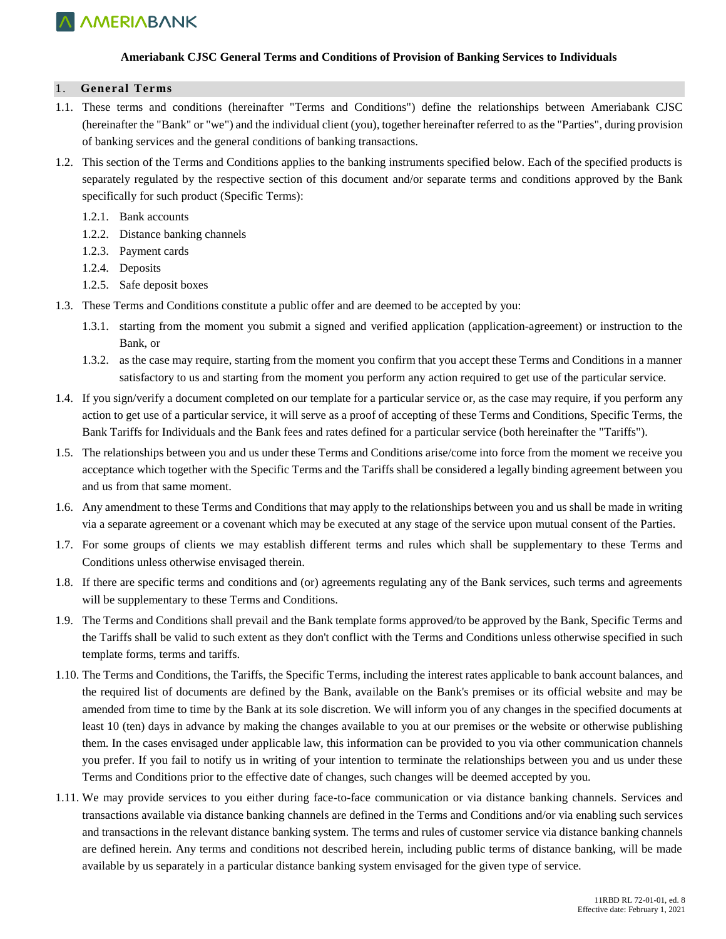

#### **Ameriabank CJSC General Terms and Conditions of Provision of Banking Services to Individuals**

#### 1. **General Terms**

- 1.1. These terms and conditions (hereinafter "Terms and Conditions") define the relationships between Ameriabank CJSC (hereinafter the "Bank" or "we") and the individual client (you), together hereinafter referred to as the "Parties", during provision of banking services and the general conditions of banking transactions.
- 1.2. This section of the Terms and Conditions applies to the banking instruments specified below. Each of the specified products is separately regulated by the respective section of this document and/or separate terms and conditions approved by the Bank specifically for such product (Specific Terms):
	- 1.2.1. Bank accounts
	- 1.2.2. Distance banking channels
	- 1.2.3. Payment cards
	- 1.2.4. Deposits
	- 1.2.5. Safe deposit boxes
- 1.3. These Terms and Conditions constitute a public offer and are deemed to be accepted by you:
	- 1.3.1. starting from the moment you submit a signed and verified application (application-agreement) or instruction to the Bank, or
	- 1.3.2. as the case may require, starting from the moment you confirm that you accept these Terms and Conditions in a manner satisfactory to us and starting from the moment you perform any action required to get use of the particular service.
- 1.4. If you sign/verify a document completed on our template for a particular service or, as the case may require, if you perform any action to get use of a particular service, it will serve as a proof of accepting of these Terms and Conditions, Specific Terms, the Bank Tariffs for Individuals and the Bank fees and rates defined for a particular service (both hereinafter the "Tariffs").
- 1.5. The relationships between you and us under these Terms and Conditions arise/come into force from the moment we receive you acceptance which together with the Specific Terms and the Tariffs shall be considered a legally binding agreement between you and us from that same moment.
- 1.6. Any amendment to these Terms and Conditions that may apply to the relationships between you and us shall be made in writing via a separate agreement or a covenant which may be executed at any stage of the service upon mutual consent of the Parties.
- 1.7. For some groups of clients we may establish different terms and rules which shall be supplementary to these Terms and Conditions unless otherwise envisaged therein.
- 1.8. If there are specific terms and conditions and (or) agreements regulating any of the Bank services, such terms and agreements will be supplementary to these Terms and Conditions.
- 1.9. The Terms and Conditions shall prevail and the Bank template forms approved/to be approved by the Bank, Specific Terms and the Tariffs shall be valid to such extent as they don't conflict with the Terms and Conditions unless otherwise specified in such template forms, terms and tariffs.
- 1.10. The Terms and Conditions, the Tariffs, the Specific Terms, including the interest rates applicable to bank account balances, and the required list of documents are defined by the Bank, available on the Bank's premises or its official website and may be amended from time to time by the Bank at its sole discretion. We will inform you of any changes in the specified documents at least 10 (ten) days in advance by making the changes available to you at our premises or the website or otherwise publishing them. In the cases envisaged under applicable law, this information can be provided to you via other communication channels you prefer. If you fail to notify us in writing of your intention to terminate the relationships between you and us under these Terms and Conditions prior to the effective date of changes, such changes will be deemed accepted by you.
- 1.11. We may provide services to you either during face-to-face communication or via distance banking channels. Services and transactions available via distance banking channels are defined in the Terms and Conditions and/or via enabling such services and transactions in the relevant distance banking system. The terms and rules of customer service via distance banking channels are defined herein. Any terms and conditions not described herein, including public terms of distance banking, will be made available by us separately in a particular distance banking system envisaged for the given type of service.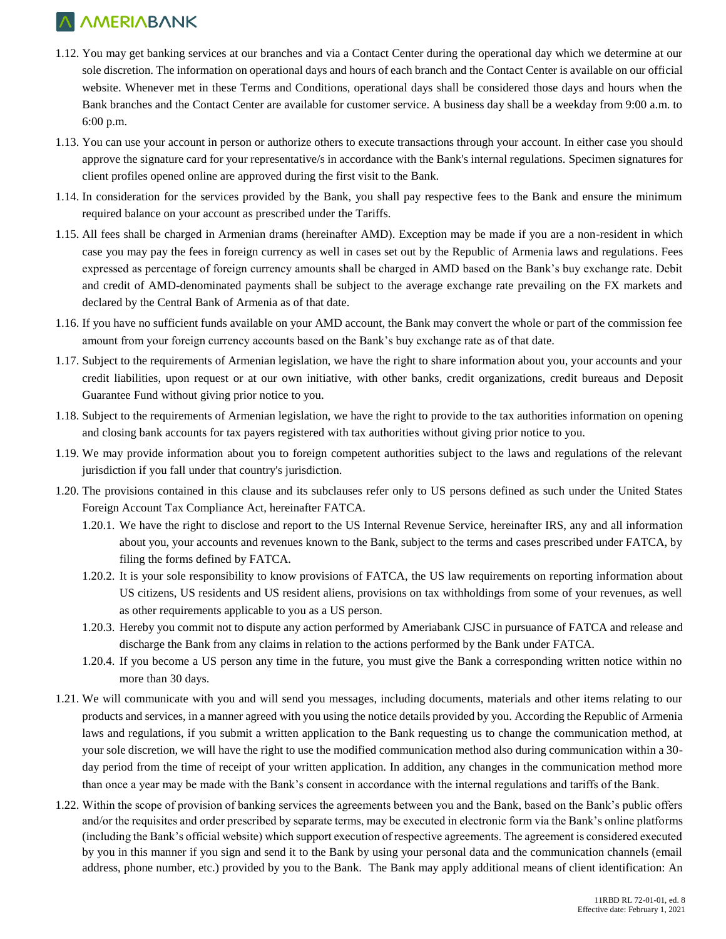- 1.12. You may get banking services at our branches and via a Contact Center during the operational day which we determine at our sole discretion. The information on operational days and hours of each branch and the Contact Center is available on our official website. Whenever met in these Terms and Conditions, operational days shall be considered those days and hours when the Bank branches and the Contact Center are available for customer service. A business day shall be a weekday from 9:00 a.m. to 6:00 p.m.
- 1.13. You can use your account in person or authorize others to execute transactions through your account. In either case you should approve the signature card for your representative/s in accordance with the Bank's internal regulations. Specimen signatures for client profiles opened online are approved during the first visit to the Bank.
- 1.14. In consideration for the services provided by the Bank, you shall pay respective fees to the Bank and ensure the minimum required balance on your account as prescribed under the Tariffs.
- 1.15. All fees shall be charged in Armenian drams (hereinafter AMD). Exception may be made if you are a non-resident in which case you may pay the fees in foreign currency as well in cases set out by the Republic of Armenia laws and regulations. Fees expressed as percentage of foreign currency amounts shall be charged in AMD based on the Bank's buy exchange rate. Debit and credit of AMD-denominated payments shall be subject to the average exchange rate prevailing on the FX markets and declared by the Central Bank of Armenia as of that date.
- 1.16. If you have no sufficient funds available on your AMD account, the Bank may convert the whole or part of the commission fee amount from your foreign currency accounts based on the Bank's buy exchange rate as of that date.
- 1.17. Subject to the requirements of Armenian legislation, we have the right to share information about you, your accounts and your credit liabilities, upon request or at our own initiative, with other banks, credit organizations, credit bureaus and Deposit Guarantee Fund without giving prior notice to you.
- 1.18. Subject to the requirements of Armenian legislation, we have the right to provide to the tax authorities information on opening and closing bank accounts for tax payers registered with tax authorities without giving prior notice to you.
- 1.19. We may provide information about you to foreign competent authorities subject to the laws and regulations of the relevant jurisdiction if you fall under that country's jurisdiction.
- 1.20. The provisions contained in this clause and its subclauses refer only to US persons defined as such under the United States Foreign Account Tax Compliance Act, hereinafter FATCA.
	- 1.20.1. We have the right to disclose and report to the US Internal Revenue Service, hereinafter IRS, any and all information about you, your accounts and revenues known to the Bank, subject to the terms and cases prescribed under FATCA, by filing the forms defined by FATCA.
	- 1.20.2. It is your sole responsibility to know provisions of FATCA, the US law requirements on reporting information about US citizens, US residents and US resident aliens, provisions on tax withholdings from some of your revenues, as well as other requirements applicable to you as a US person.
	- 1.20.3. Hereby you commit not to dispute any action performed by Ameriabank CJSC in pursuance of FATCA and release and discharge the Bank from any claims in relation to the actions performed by the Bank under FATCA.
	- 1.20.4. If you become a US person any time in the future, you must give the Bank a corresponding written notice within no more than 30 days.
- 1.21. We will communicate with you and will send you messages, including documents, materials and other items relating to our products and services, in a manner agreed with you using the notice details provided by you. According the Republic of Armenia laws and regulations, if you submit a written application to the Bank requesting us to change the communication method, at your sole discretion, we will have the right to use the modified communication method also during communication within a 30 day period from the time of receipt of your written application. In addition, any changes in the communication method more than once a year may be made with the Bank's consent in accordance with the internal regulations and tariffs of the Bank.
- 1.22. Within the scope of provision of banking services the agreements between you and the Bank, based on the Bank's public offers and/or the requisites and order prescribed by separate terms, may be executed in electronic form via the Bank's online platforms (including the Bank's official website) which support execution of respective agreements. The agreement is considered executed by you in this manner if you sign and send it to the Bank by using your personal data and the communication channels (email address, phone number, etc.) provided by you to the Bank. The Bank may apply additional means of client identification: An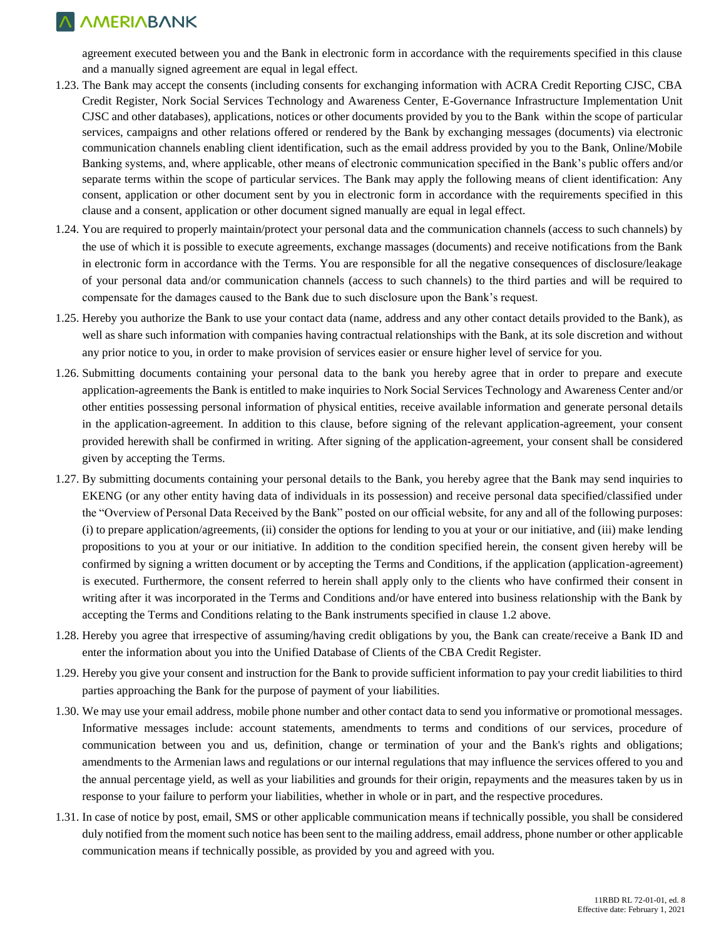agreement executed between you and the Bank in electronic form in accordance with the requirements specified in this clause and a manually signed agreement are equal in legal effect.

- 1.23. The Bank may accept the consents (including consents for exchanging information with ACRA Credit Reporting CJSC, CBA Credit Register, Nork Social Services Technology and Awareness Center, E-Governance Infrastructure Implementation Unit CJSC and other databases), applications, notices or other documents provided by you to the Bank within the scope of particular services, campaigns and other relations offered or rendered by the Bank by exchanging messages (documents) via electronic communication channels enabling client identification, such as the email address provided by you to the Bank, Online/Mobile Banking systems, and, where applicable, other means of electronic communication specified in the Bank's public offers and/or separate terms within the scope of particular services. The Bank may apply the following means of client identification: Any consent, application or other document sent by you in electronic form in accordance with the requirements specified in this clause and a consent, application or other document signed manually are equal in legal effect.
- 1.24. You are required to properly maintain/protect your personal data and the communication channels (access to such channels) by the use of which it is possible to execute agreements, exchange massages (documents) and receive notifications from the Bank in electronic form in accordance with the Terms. You are responsible for all the negative consequences of disclosure/leakage of your personal data and/or communication channels (access to such channels) to the third parties and will be required to compensate for the damages caused to the Bank due to such disclosure upon the Bank's request.
- 1.25. Hereby you authorize the Bank to use your contact data (name, address and any other contact details provided to the Bank), as well as share such information with companies having contractual relationships with the Bank, at its sole discretion and without any prior notice to you, in order to make provision of services easier or ensure higher level of service for you.
- 1.26. Submitting documents containing your personal data to the bank you hereby agree that in order to prepare and execute application-agreements the Bank is entitled to make inquiries to Nork Social Services Technology and Awareness Center and/or other entities possessing personal information of physical entities, receive available information and generate personal details in the application-agreement. In addition to this clause, before signing of the relevant application-agreement, your consent provided herewith shall be confirmed in writing. After signing of the application-agreement, your consent shall be considered given by accepting the Terms.
- 1.27. By submitting documents containing your personal details to the Bank, you hereby agree that the Bank may send inquiries to EKENG (or any other entity having data of individuals in its possession) and receive personal data specified/classified under the "Overview of Personal Data Received by the Bank" posted on our official website, for any and all of the following purposes: (i) to prepare application/agreements, (ii) consider the options for lending to you at your or our initiative, and (iii) make lending propositions to you at your or our initiative. In addition to the condition specified herein, the consent given hereby will be confirmed by signing a written document or by accepting the Terms and Conditions, if the application (application-agreement) is executed. Furthermore, the consent referred to herein shall apply only to the clients who have confirmed their consent in writing after it was incorporated in the Terms and Conditions and/or have entered into business relationship with the Bank by accepting the Terms and Conditions relating to the Bank instruments specified in clause 1.2 above.
- 1.28. Hereby you agree that irrespective of assuming/having credit obligations by you, the Bank can create/receive a Bank ID and enter the information about you into the Unified Database of Clients of the CBA Credit Register.
- 1.29. Hereby you give your consent and instruction for the Bank to provide sufficient information to pay your credit liabilities to third parties approaching the Bank for the purpose of payment of your liabilities.
- 1.30. We may use your email address, mobile phone number and other contact data to send you informative or promotional messages. Informative messages include: account statements, amendments to terms and conditions of our services, procedure of communication between you and us, definition, change or termination of your and the Bank's rights and obligations; amendments to the Armenian laws and regulations or our internal regulations that may influence the services offered to you and the annual percentage yield, as well as your liabilities and grounds for their origin, repayments and the measures taken by us in response to your failure to perform your liabilities, whether in whole or in part, and the respective procedures.
- 1.31. In case of notice by post, email, SMS or other applicable communication means if technically possible, you shall be considered duly notified from the moment such notice has been sent to the mailing address, email address, phone number or other applicable communication means if technically possible, as provided by you and agreed with you.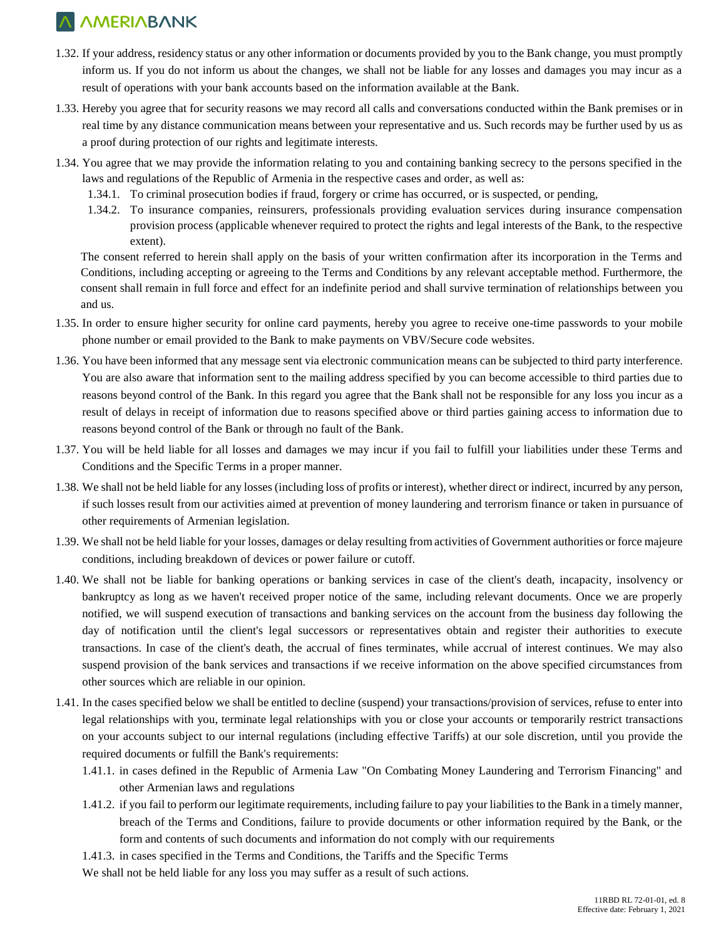- 1.32. If your address, residency status or any other information or documents provided by you to the Bank change, you must promptly inform us. If you do not inform us about the changes, we shall not be liable for any losses and damages you may incur as a result of operations with your bank accounts based on the information available at the Bank.
- 1.33. Hereby you agree that for security reasons we may record all calls and conversations conducted within the Bank premises or in real time by any distance communication means between your representative and us. Such records may be further used by us as a proof during protection of our rights and legitimate interests.
- 1.34. You agree that we may provide the information relating to you and containing banking secrecy to the persons specified in the laws and regulations of the Republic of Armenia in the respective cases and order, as well as:
	- 1.34.1. To criminal prosecution bodies if fraud, forgery or crime has occurred, or is suspected, or pending,
	- 1.34.2. To insurance companies, reinsurers, professionals providing evaluation services during insurance compensation provision process (applicable whenever required to protect the rights and legal interests of the Bank, to the respective extent).

The consent referred to herein shall apply on the basis of your written confirmation after its incorporation in the Terms and Conditions, including accepting or agreeing to the Terms and Conditions by any relevant acceptable method. Furthermore, the consent shall remain in full force and effect for an indefinite period and shall survive termination of relationships between you and us.

- 1.35. In order to ensure higher security for online card payments, hereby you agree to receive one-time passwords to your mobile phone number or email provided to the Bank to make payments on VBV/Secure code websites.
- 1.36. You have been informed that any message sent via electronic communication means can be subjected to third party interference. You are also aware that information sent to the mailing address specified by you can become accessible to third parties due to reasons beyond control of the Bank. In this regard you agree that the Bank shall not be responsible for any loss you incur as a result of delays in receipt of information due to reasons specified above or third parties gaining access to information due to reasons beyond control of the Bank or through no fault of the Bank.
- 1.37. You will be held liable for all losses and damages we may incur if you fail to fulfill your liabilities under these Terms and Conditions and the Specific Terms in a proper manner.
- 1.38. We shall not be held liable for any losses (including loss of profits or interest), whether direct or indirect, incurred by any person, if such losses result from our activities aimed at prevention of money laundering and terrorism finance or taken in pursuance of other requirements of Armenian legislation.
- 1.39. We shall not be held liable for your losses, damages or delay resulting from activities of Government authorities or force majeure conditions, including breakdown of devices or power failure or cutoff.
- 1.40. We shall not be liable for banking operations or banking services in case of the client's death, incapacity, insolvency or bankruptcy as long as we haven't received proper notice of the same, including relevant documents. Once we are properly notified, we will suspend execution of transactions and banking services on the account from the business day following the day of notification until the client's legal successors or representatives obtain and register their authorities to execute transactions. In case of the client's death, the accrual of fines terminates, while accrual of interest continues. We may also suspend provision of the bank services and transactions if we receive information on the above specified circumstances from other sources which are reliable in our opinion.
- 1.41. In the cases specified below we shall be entitled to decline (suspend) your transactions/provision of services, refuse to enter into legal relationships with you, terminate legal relationships with you or close your accounts or temporarily restrict transactions on your accounts subject to our internal regulations (including effective Tariffs) at our sole discretion, until you provide the required documents or fulfill the Bank's requirements:
	- 1.41.1. in cases defined in the Republic of Armenia Law "On Combating Money Laundering and Terrorism Financing" and other Armenian laws and regulations
	- 1.41.2. if you fail to perform our legitimate requirements, including failure to pay your liabilities to the Bank in a timely manner, breach of the Terms and Conditions, failure to provide documents or other information required by the Bank, or the form and contents of such documents and information do not comply with our requirements
	- 1.41.3. in cases specified in the Terms and Conditions, the Tariffs and the Specific Terms

We shall not be held liable for any loss you may suffer as a result of such actions.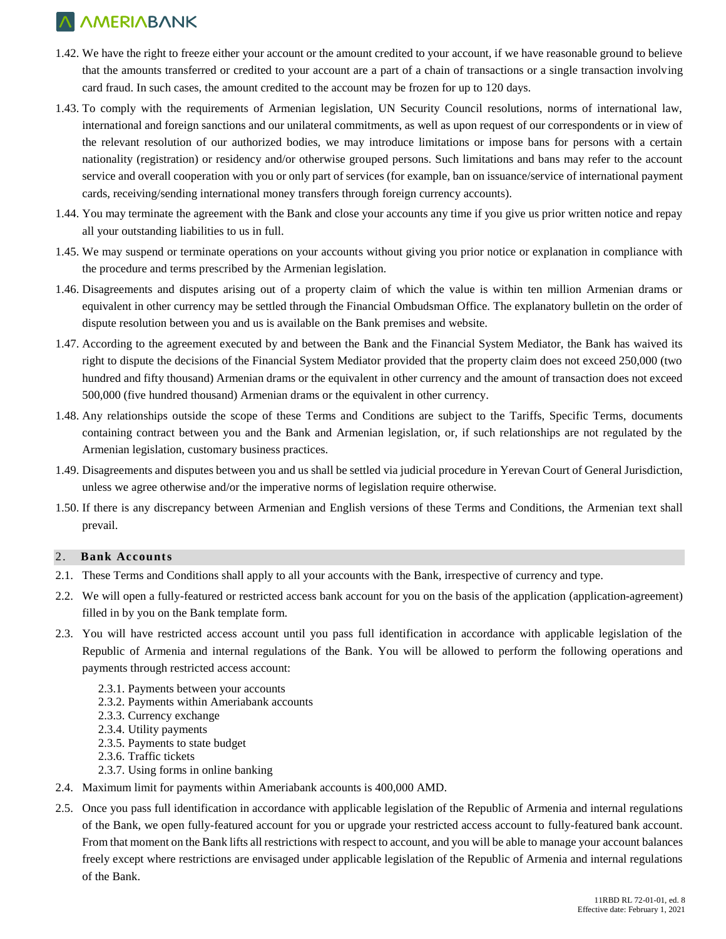- 1.42. We have the right to freeze either your account or the amount credited to your account, if we have reasonable ground to believe that the amounts transferred or credited to your account are a part of a chain of transactions or a single transaction involving card fraud. In such cases, the amount credited to the account may be frozen for up to 120 days.
- 1.43. To comply with the requirements of Armenian legislation, UN Security Council resolutions, norms of international law, international and foreign sanctions and our unilateral commitments, as well as upon request of our correspondents or in view of the relevant resolution of our authorized bodies, we may introduce limitations or impose bans for persons with a certain nationality (registration) or residency and/or otherwise grouped persons. Such limitations and bans may refer to the account service and overall cooperation with you or only part of services (for example, ban on issuance/service of international payment cards, receiving/sending international money transfers through foreign currency accounts).
- 1.44. You may terminate the agreement with the Bank and close your accounts any time if you give us prior written notice and repay all your outstanding liabilities to us in full.
- 1.45. We may suspend or terminate operations on your accounts without giving you prior notice or explanation in compliance with the procedure and terms prescribed by the Armenian legislation.
- 1.46. Disagreements and disputes arising out of a property claim of which the value is within ten million Armenian drams or equivalent in other currency may be settled through the Financial Ombudsman Office. The explanatory bulletin on the order of dispute resolution between you and us is available on the Bank premises and website.
- 1.47. According to the agreement executed by and between the Bank and the Financial System Mediator, the Bank has waived its right to dispute the decisions of the Financial System Mediator provided that the property claim does not exceed 250,000 (two hundred and fifty thousand) Armenian drams or the equivalent in other currency and the amount of transaction does not exceed 500,000 (five hundred thousand) Armenian drams or the equivalent in other currency.
- 1.48. Any relationships outside the scope of these Terms and Conditions are subject to the Tariffs, Specific Terms, documents containing contract between you and the Bank and Armenian legislation, or, if such relationships are not regulated by the Armenian legislation, customary business practices.
- 1.49. Disagreements and disputes between you and us shall be settled via judicial procedure in Yerevan Court of General Jurisdiction, unless we agree otherwise and/or the imperative norms of legislation require otherwise.
- 1.50. If there is any discrepancy between Armenian and English versions of these Terms and Conditions, the Armenian text shall prevail.

#### 2. **Bank Accounts**

- 2.1. These Terms and Conditions shall apply to all your accounts with the Bank, irrespective of currency and type.
- 2.2. We will open a fully-featured or restricted access bank account for you on the basis of the application (application-agreement) filled in by you on the Bank template form.
- 2.3. You will have restricted access account until you pass full identification in accordance with applicable legislation of the Republic of Armenia and internal regulations of the Bank. You will be allowed to perform the following operations and payments through restricted access account:
	- 2.3.1. Payments between your accounts
	- 2.3.2. Payments within Ameriabank accounts
	- 2.3.3. Currency exchange
	- 2.3.4. Utility payments
	- 2.3.5. Payments to state budget
	- 2.3.6. Traffic tickets
	- 2.3.7. Using forms in online banking
- 2.4. Maximum limit for payments within Ameriabank accounts is 400,000 AMD.
- 2.5. Once you pass full identification in accordance with applicable legislation of the Republic of Armenia and internal regulations of the Bank, we open fully-featured account for you or upgrade your restricted access account to fully-featured bank account. From that moment on the Bank lifts all restrictions with respect to account, and you will be able to manage your account balances freely except where restrictions are envisaged under applicable legislation of the Republic of Armenia and internal regulations of the Bank.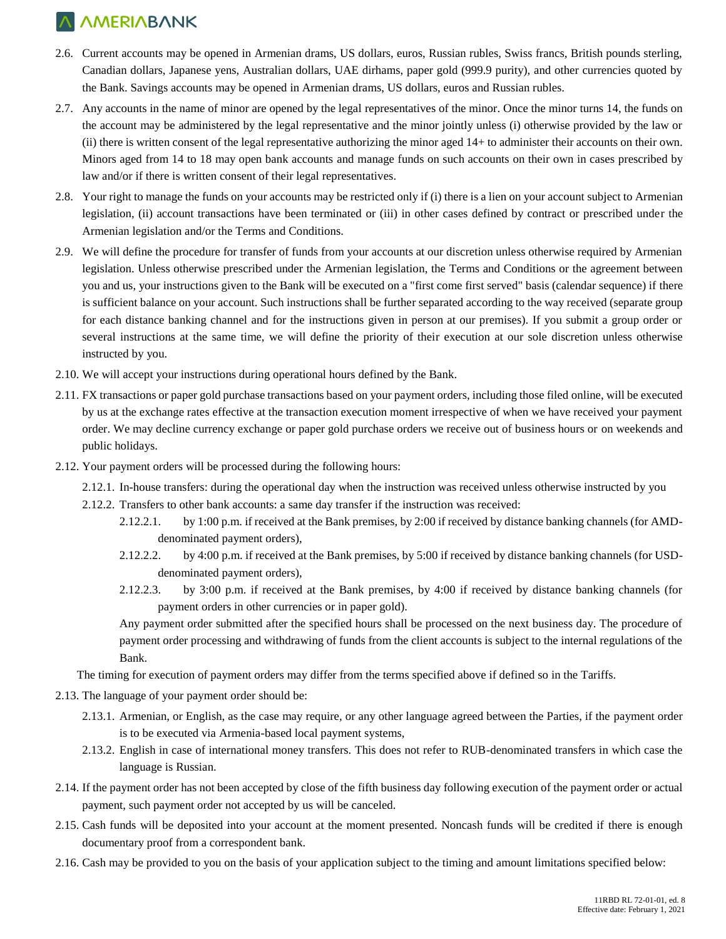- 2.6. Current accounts may be opened in Armenian drams, US dollars, euros, Russian rubles, Swiss francs, British pounds sterling, Canadian dollars, Japanese yens, Australian dollars, UAE dirhams, paper gold (999.9 purity), and other currencies quoted by the Bank. Savings accounts may be opened in Armenian drams, US dollars, euros and Russian rubles.
- 2.7. Any accounts in the name of minor are opened by the legal representatives of the minor. Once the minor turns 14, the funds on the account may be administered by the legal representative and the minor jointly unless (i) otherwise provided by the law or (ii) there is written consent of the legal representative authorizing the minor aged 14+ to administer their accounts on their own. Minors aged from 14 to 18 may open bank accounts and manage funds on such accounts on their own in cases prescribed by law and/or if there is written consent of their legal representatives.
- 2.8. Your right to manage the funds on your accounts may be restricted only if (i) there is a lien on your account subject to Armenian legislation, (ii) account transactions have been terminated or (iii) in other cases defined by contract or prescribed under the Armenian legislation and/or the Terms and Conditions.
- 2.9. We will define the procedure for transfer of funds from your accounts at our discretion unless otherwise required by Armenian legislation. Unless otherwise prescribed under the Armenian legislation, the Terms and Conditions or the agreement between you and us, your instructions given to the Bank will be executed on a "first come first served" basis (calendar sequence) if there is sufficient balance on your account. Such instructions shall be further separated according to the way received (separate group for each distance banking channel and for the instructions given in person at our premises). If you submit a group order or several instructions at the same time, we will define the priority of their execution at our sole discretion unless otherwise instructed by you.
- 2.10. We will accept your instructions during operational hours defined by the Bank.
- 2.11. FX transactions or paper gold purchase transactions based on your payment orders, including those filed online, will be executed by us at the exchange rates effective at the transaction execution moment irrespective of when we have received your payment order. We may decline currency exchange or paper gold purchase orders we receive out of business hours or on weekends and public holidays.
- 2.12. Your payment orders will be processed during the following hours:
	- 2.12.1. In-house transfers: during the operational day when the instruction was received unless otherwise instructed by you
	- 2.12.2. Transfers to other bank accounts: a same day transfer if the instruction was received:
		- 2.12.2.1. by 1:00 p.m. if received at the Bank premises, by 2:00 if received by distance banking channels (for AMDdenominated payment orders),
		- 2.12.2.2. by 4:00 p.m. if received at the Bank premises, by 5:00 if received by distance banking channels (for USDdenominated payment orders),
		- 2.12.2.3. by 3:00 p.m. if received at the Bank premises, by 4:00 if received by distance banking channels (for payment orders in other currencies or in paper gold).

Any payment order submitted after the specified hours shall be processed on the next business day. The procedure of payment order processing and withdrawing of funds from the client accounts is subject to the internal regulations of the Bank.

The timing for execution of payment orders may differ from the terms specified above if defined so in the Tariffs.

- 2.13. The language of your payment order should be:
	- 2.13.1. Armenian, or English, as the case may require, or any other language agreed between the Parties, if the payment order is to be executed via Armenia-based local payment systems,
	- 2.13.2. English in case of international money transfers. This does not refer to RUB-denominated transfers in which case the language is Russian.
- 2.14. If the payment order has not been accepted by close of the fifth business day following execution of the payment order or actual payment, such payment order not accepted by us will be canceled.
- 2.15. Cash funds will be deposited into your account at the moment presented. Noncash funds will be credited if there is enough documentary proof from a correspondent bank.
- 2.16. Cash may be provided to you on the basis of your application subject to the timing and amount limitations specified below: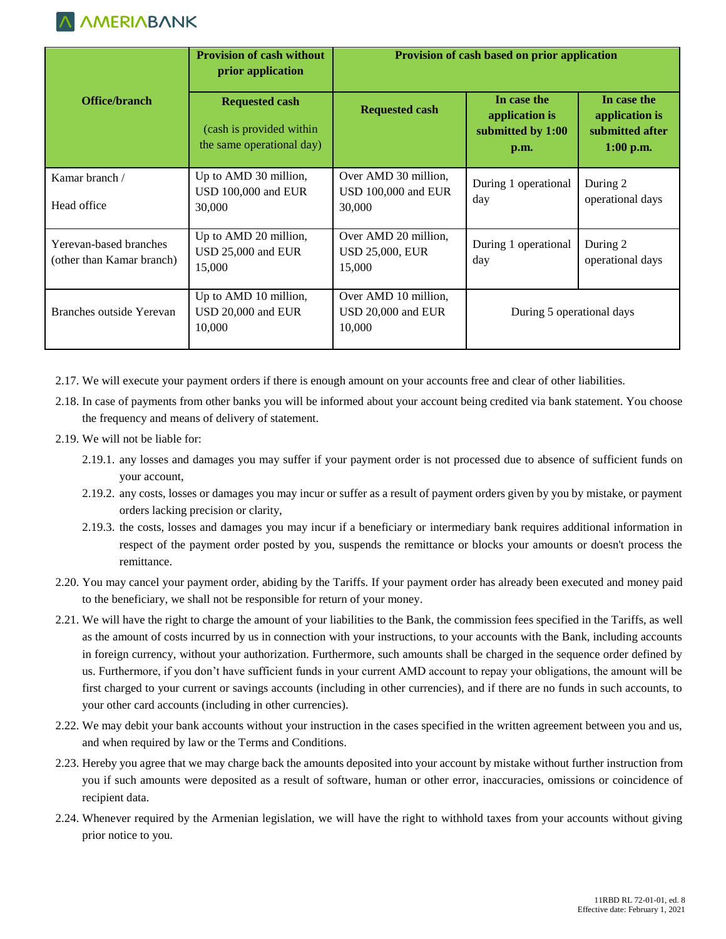

|                                                     | <b>Provision of cash without</b><br>prior application                          | Provision of cash based on prior application             |                                                            |                                                                 |
|-----------------------------------------------------|--------------------------------------------------------------------------------|----------------------------------------------------------|------------------------------------------------------------|-----------------------------------------------------------------|
| Office/branch                                       | <b>Requested cash</b><br>(cash is provided within<br>the same operational day) | <b>Requested cash</b>                                    | In case the<br>application is<br>submitted by 1:00<br>p.m. | In case the<br>application is<br>submitted after<br>$1:00$ p.m. |
| Kamar branch /<br>Head office                       | Up to AMD 30 million,<br>USD 100,000 and EUR<br>30,000                         | Over AMD 30 million,<br>USD 100,000 and EUR<br>30,000    | During 1 operational<br>day                                | During 2<br>operational days                                    |
| Yerevan-based branches<br>(other than Kamar branch) | Up to AMD 20 million,<br>USD 25,000 and EUR<br>15,000                          | Over AMD 20 million,<br><b>USD 25,000, EUR</b><br>15,000 | During 1 operational<br>day                                | During 2<br>operational days                                    |
| Branches outside Yerevan                            | Up to AMD 10 million,<br>USD 20,000 and EUR<br>10,000                          | Over AMD 10 million,<br>USD 20,000 and EUR<br>10,000     | During 5 operational days                                  |                                                                 |

2.17. We will execute your payment orders if there is enough amount on your accounts free and clear of other liabilities.

- 2.18. In case of payments from other banks you will be informed about your account being credited via bank statement. You choose the frequency and means of delivery of statement.
- 2.19. We will not be liable for:
	- 2.19.1. any losses and damages you may suffer if your payment order is not processed due to absence of sufficient funds on your account,
	- 2.19.2. any costs, losses or damages you may incur or suffer as a result of payment orders given by you by mistake, or payment orders lacking precision or clarity,
	- 2.19.3. the costs, losses and damages you may incur if a beneficiary or intermediary bank requires additional information in respect of the payment order posted by you, suspends the remittance or blocks your amounts or doesn't process the remittance.
- 2.20. You may cancel your payment order, abiding by the Tariffs. If your payment order has already been executed and money paid to the beneficiary, we shall not be responsible for return of your money.
- 2.21. We will have the right to charge the amount of your liabilities to the Bank, the commission fees specified in the Tariffs, as well as the amount of costs incurred by us in connection with your instructions, to your accounts with the Bank, including accounts in foreign currency, without your authorization. Furthermore, such amounts shall be charged in the sequence order defined by us. Furthermore, if you don't have sufficient funds in your current AMD account to repay your obligations, the amount will be first charged to your current or savings accounts (including in other currencies), and if there are no funds in such accounts, to your other card accounts (including in other currencies).
- 2.22. We may debit your bank accounts without your instruction in the cases specified in the written agreement between you and us, and when required by law or the Terms and Conditions.
- 2.23. Hereby you agree that we may charge back the amounts deposited into your account by mistake without further instruction from you if such amounts were deposited as a result of software, human or other error, inaccuracies, omissions or coincidence of recipient data.
- 2.24. Whenever required by the Armenian legislation, we will have the right to withhold taxes from your accounts without giving prior notice to you.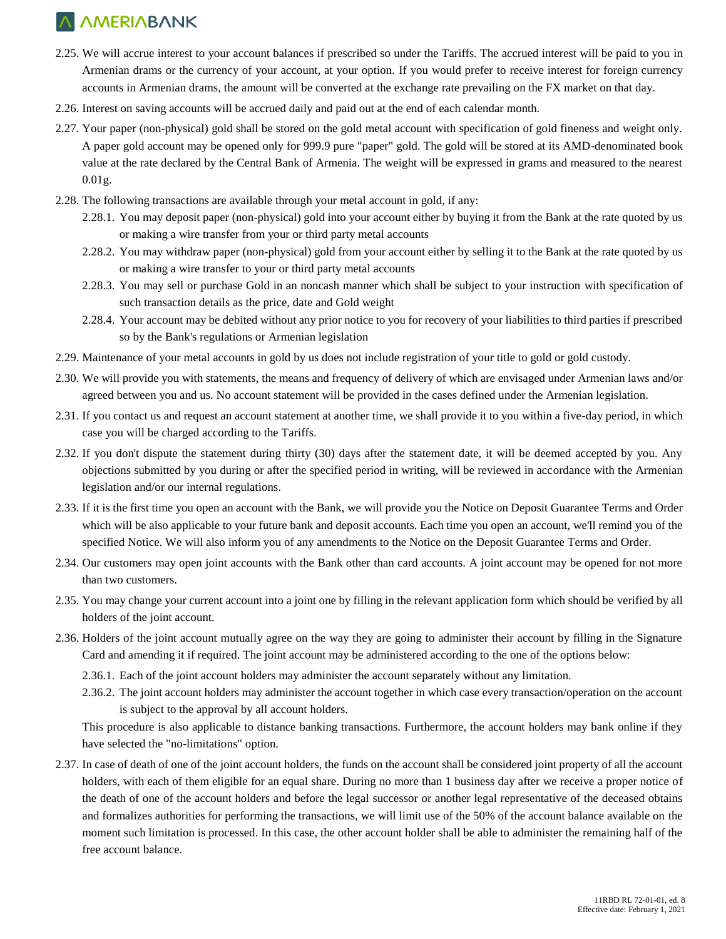- 2.25. We will accrue interest to your account balances if prescribed so under the Tariffs. The accrued interest will be paid to you in Armenian drams or the currency of your account, at your option. If you would prefer to receive interest for foreign currency accounts in Armenian drams, the amount will be converted at the exchange rate prevailing on the FX market on that day.
- 2.26. Interest on saving accounts will be accrued daily and paid out at the end of each calendar month.
- 2.27. Your paper (non-physical) gold shall be stored on the gold metal account with specification of gold fineness and weight only. A paper gold account may be opened only for 999.9 pure "paper" gold. The gold will be stored at its AMD-denominated book value at the rate declared by the Central Bank of Armenia. The weight will be expressed in grams and measured to the nearest 0.01g.
- 2.28. The following transactions are available through your metal account in gold, if any:
	- 2.28.1. You may deposit paper (non-physical) gold into your account either by buying it from the Bank at the rate quoted by us or making a wire transfer from your or third party metal accounts
	- 2.28.2. You may withdraw paper (non-physical) gold from your account either by selling it to the Bank at the rate quoted by us or making a wire transfer to your or third party metal accounts
	- 2.28.3. You may sell or purchase Gold in an noncash manner which shall be subject to your instruction with specification of such transaction details as the price, date and Gold weight
	- 2.28.4. Your account may be debited without any prior notice to you for recovery of your liabilities to third parties if prescribed so by the Bank's regulations or Armenian legislation
- 2.29. Maintenance of your metal accounts in gold by us does not include registration of your title to gold or gold custody.
- 2.30. We will provide you with statements, the means and frequency of delivery of which are envisaged under Armenian laws and/or agreed between you and us. No account statement will be provided in the cases defined under the Armenian legislation.
- 2.31. If you contact us and request an account statement at another time, we shall provide it to you within a five-day period, in which case you will be charged according to the Tariffs.
- 2.32. If you don't dispute the statement during thirty (30) days after the statement date, it will be deemed accepted by you. Any objections submitted by you during or after the specified period in writing, will be reviewed in accordance with the Armenian legislation and/or our internal regulations.
- 2.33. If it is the first time you open an account with the Bank, we will provide you the Notice on Deposit Guarantee Terms and Order which will be also applicable to your future bank and deposit accounts. Each time you open an account, we'll remind you of the specified Notice. We will also inform you of any amendments to the Notice on the Deposit Guarantee Terms and Order.
- 2.34. Our customers may open joint accounts with the Bank other than card accounts. A joint account may be opened for not more than two customers.
- 2.35. You may change your current account into a joint one by filling in the relevant application form which should be verified by all holders of the joint account.
- 2.36. Holders of the joint account mutually agree on the way they are going to administer their account by filling in the Signature Card and amending it if required. The joint account may be administered according to the one of the options below:
	- 2.36.1. Each of the joint account holders may administer the account separately without any limitation.
	- 2.36.2. The joint account holders may administer the account together in which case every transaction/operation on the account is subject to the approval by all account holders.

This procedure is also applicable to distance banking transactions. Furthermore, the account holders may bank online if they have selected the "no-limitations" option.

2.37. In case of death of one of the joint account holders, the funds on the account shall be considered joint property of all the account holders, with each of them eligible for an equal share. During no more than 1 business day after we receive a proper notice of the death of one of the account holders and before the legal successor or another legal representative of the deceased obtains and formalizes authorities for performing the transactions, we will limit use of the 50% of the account balance available on the moment such limitation is processed. In this case, the other account holder shall be able to administer the remaining half of the free account balance.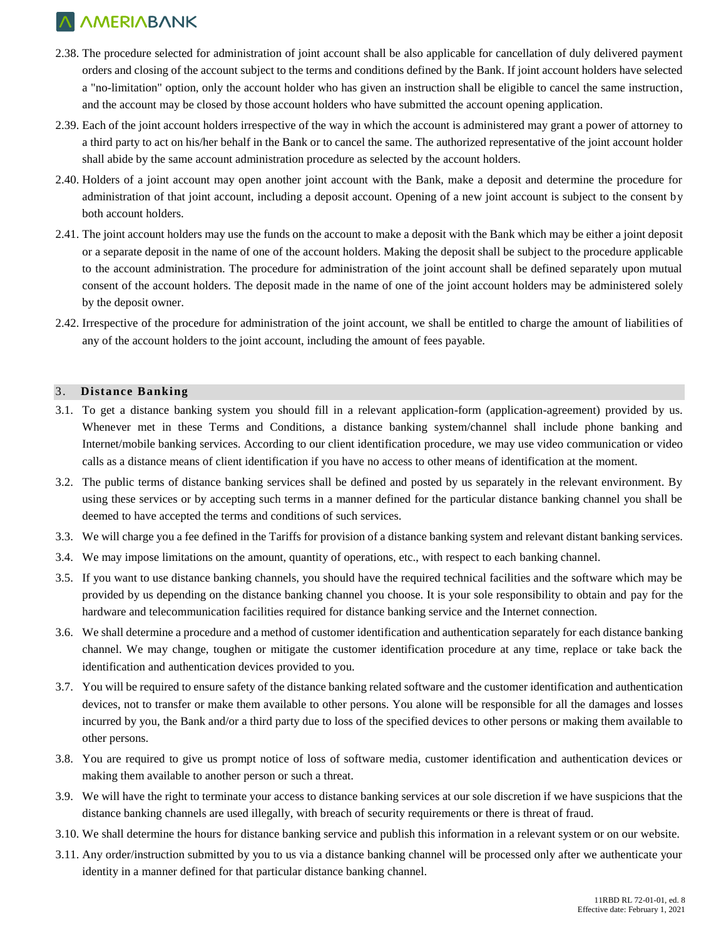- 2.38. The procedure selected for administration of joint account shall be also applicable for cancellation of duly delivered payment orders and closing of the account subject to the terms and conditions defined by the Bank. If joint account holders have selected a "no-limitation" option, only the account holder who has given an instruction shall be eligible to cancel the same instruction, and the account may be closed by those account holders who have submitted the account opening application.
- 2.39. Each of the joint account holders irrespective of the way in which the account is administered may grant a power of attorney to a third party to act on his/her behalf in the Bank or to cancel the same. The authorized representative of the joint account holder shall abide by the same account administration procedure as selected by the account holders.
- 2.40. Holders of a joint account may open another joint account with the Bank, make a deposit and determine the procedure for administration of that joint account, including a deposit account. Opening of a new joint account is subject to the consent by both account holders.
- 2.41. The joint account holders may use the funds on the account to make a deposit with the Bank which may be either a joint deposit or a separate deposit in the name of one of the account holders. Making the deposit shall be subject to the procedure applicable to the account administration. The procedure for administration of the joint account shall be defined separately upon mutual consent of the account holders. The deposit made in the name of one of the joint account holders may be administered solely by the deposit owner.
- 2.42. Irrespective of the procedure for administration of the joint account, we shall be entitled to charge the amount of liabilities of any of the account holders to the joint account, including the amount of fees payable.

#### 3. **Distance Banking**

- 3.1. To get a distance banking system you should fill in a relevant application-form (application-agreement) provided by us. Whenever met in these Terms and Conditions, a distance banking system/channel shall include phone banking and Internet/mobile banking services. According to our client identification procedure, we may use video communication or video calls as a distance means of client identification if you have no access to other means of identification at the moment.
- 3.2. The public terms of distance banking services shall be defined and posted by us separately in the relevant environment. By using these services or by accepting such terms in a manner defined for the particular distance banking channel you shall be deemed to have accepted the terms and conditions of such services.
- 3.3. We will charge you a fee defined in the Tariffs for provision of a distance banking system and relevant distant banking services.
- 3.4. We may impose limitations on the amount, quantity of operations, etc., with respect to each banking channel.
- 3.5. If you want to use distance banking channels, you should have the required technical facilities and the software which may be provided by us depending on the distance banking channel you choose. It is your sole responsibility to obtain and pay for the hardware and telecommunication facilities required for distance banking service and the Internet connection.
- 3.6. We shall determine a procedure and a method of customer identification and authentication separately for each distance banking channel. We may change, toughen or mitigate the customer identification procedure at any time, replace or take back the identification and authentication devices provided to you.
- 3.7. You will be required to ensure safety of the distance banking related software and the customer identification and authentication devices, not to transfer or make them available to other persons. You alone will be responsible for all the damages and losses incurred by you, the Bank and/or a third party due to loss of the specified devices to other persons or making them available to other persons.
- 3.8. You are required to give us prompt notice of loss of software media, customer identification and authentication devices or making them available to another person or such a threat.
- 3.9. We will have the right to terminate your access to distance banking services at our sole discretion if we have suspicions that the distance banking channels are used illegally, with breach of security requirements or there is threat of fraud.
- 3.10. We shall determine the hours for distance banking service and publish this information in a relevant system or on our website.
- 3.11. Any order/instruction submitted by you to us via a distance banking channel will be processed only after we authenticate your identity in a manner defined for that particular distance banking channel.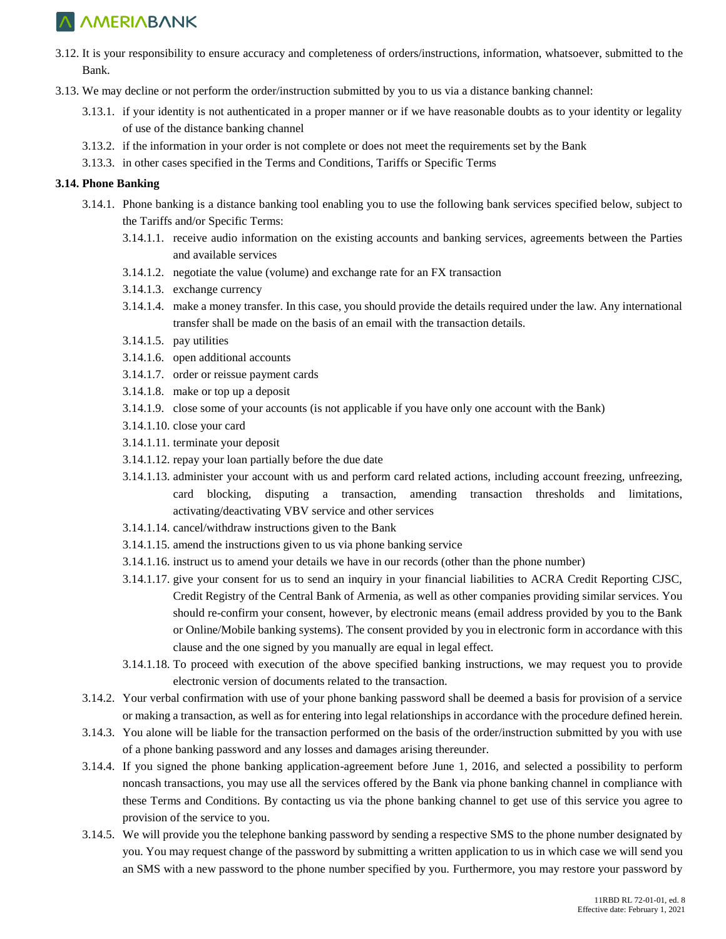- 3.12. It is your responsibility to ensure accuracy and completeness of orders/instructions, information, whatsoever, submitted to the Bank.
- 3.13. We may decline or not perform the order/instruction submitted by you to us via a distance banking channel:
	- 3.13.1. if your identity is not authenticated in a proper manner or if we have reasonable doubts as to your identity or legality of use of the distance banking channel
	- 3.13.2. if the information in your order is not complete or does not meet the requirements set by the Bank
	- 3.13.3. in other cases specified in the Terms and Conditions, Tariffs or Specific Terms

#### **3.14. Phone Banking**

- 3.14.1. Phone banking is a distance banking tool enabling you to use the following bank services specified below, subject to the Tariffs and/or Specific Terms:
	- 3.14.1.1. receive audio information on the existing accounts and banking services, agreements between the Parties and available services
	- 3.14.1.2. negotiate the value (volume) and exchange rate for an FX transaction
	- 3.14.1.3. exchange currency
	- 3.14.1.4. make a money transfer. In this case, you should provide the details required under the law. Any international transfer shall be made on the basis of an email with the transaction details.
	- 3.14.1.5. pay utilities
	- 3.14.1.6. open additional accounts
	- 3.14.1.7. order or reissue payment cards
	- 3.14.1.8. make or top up a deposit
	- 3.14.1.9. close some of your accounts (is not applicable if you have only one account with the Bank)
	- 3.14.1.10. close your card
	- 3.14.1.11. terminate your deposit
	- 3.14.1.12. repay your loan partially before the due date
	- 3.14.1.13. administer your account with us and perform card related actions, including account freezing, unfreezing, card blocking, disputing a transaction, amending transaction thresholds and limitations, activating/deactivating VBV service and other services
	- 3.14.1.14. cancel/withdraw instructions given to the Bank
	- 3.14.1.15. amend the instructions given to us via phone banking service
	- 3.14.1.16. instruct us to amend your details we have in our records (other than the phone number)
	- 3.14.1.17. give your consent for us to send an inquiry in your financial liabilities to ACRA Credit Reporting CJSC, Credit Registry of the Central Bank of Armenia, as well as other companies providing similar services. You should re-confirm your consent, however, by electronic means (email address provided by you to the Bank or Online/Mobile banking systems). The consent provided by you in electronic form in accordance with this clause and the one signed by you manually are equal in legal effect.
	- 3.14.1.18. To proceed with execution of the above specified banking instructions, we may request you to provide electronic version of documents related to the transaction.
- 3.14.2. Your verbal confirmation with use of your phone banking password shall be deemed a basis for provision of a service or making a transaction, as well as for entering into legal relationships in accordance with the procedure defined herein.
- 3.14.3. You alone will be liable for the transaction performed on the basis of the order/instruction submitted by you with use of a phone banking password and any losses and damages arising thereunder.
- 3.14.4. If you signed the phone banking application-agreement before June 1, 2016, and selected a possibility to perform noncash transactions, you may use all the services offered by the Bank via phone banking channel in compliance with these Terms and Conditions. By contacting us via the phone banking channel to get use of this service you agree to provision of the service to you.
- 3.14.5. We will provide you the telephone banking password by sending a respective SMS to the phone number designated by you. You may request change of the password by submitting a written application to us in which case we will send you an SMS with a new password to the phone number specified by you. Furthermore, you may restore your password by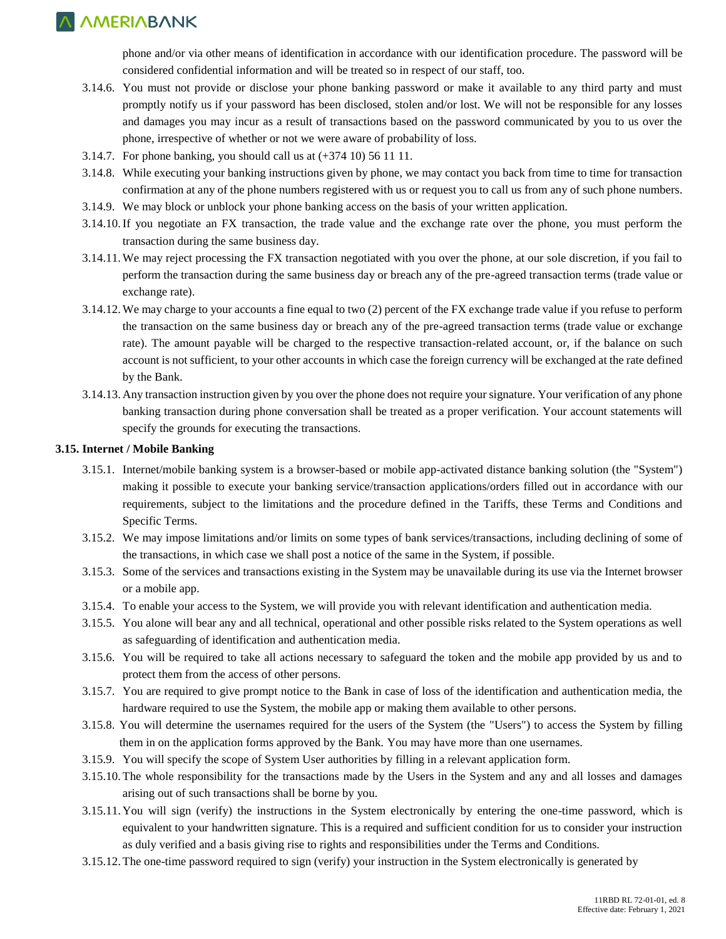phone and/or via other means of identification in accordance with our identification procedure. The password will be considered confidential information and will be treated so in respect of our staff, too.

- 3.14.6. You must not provide or disclose your phone banking password or make it available to any third party and must promptly notify us if your password has been disclosed, stolen and/or lost. We will not be responsible for any losses and damages you may incur as a result of transactions based on the password communicated by you to us over the phone, irrespective of whether or not we were aware of probability of loss.
- 3.14.7. For phone banking, you should call us at (+374 10) 56 11 11.
- 3.14.8. While executing your banking instructions given by phone, we may contact you back from time to time for transaction confirmation at any of the phone numbers registered with us or request you to call us from any of such phone numbers.
- 3.14.9. We may block or unblock your phone banking access on the basis of your written application.
- 3.14.10.If you negotiate an FX transaction, the trade value and the exchange rate over the phone, you must perform the transaction during the same business day.
- 3.14.11.We may reject processing the FX transaction negotiated with you over the phone, at our sole discretion, if you fail to perform the transaction during the same business day or breach any of the pre-agreed transaction terms (trade value or exchange rate).
- 3.14.12.We may charge to your accounts a fine equal to two (2) percent of the FX exchange trade value if you refuse to perform the transaction on the same business day or breach any of the pre-agreed transaction terms (trade value or exchange rate). The amount payable will be charged to the respective transaction-related account, or, if the balance on such account is not sufficient, to your other accounts in which case the foreign currency will be exchanged at the rate defined by the Bank.
- 3.14.13. Any transaction instruction given by you over the phone does not require your signature. Your verification of any phone banking transaction during phone conversation shall be treated as a proper verification. Your account statements will specify the grounds for executing the transactions.

#### **3.15. Internet / Mobile Banking**

- 3.15.1. Internet/mobile banking system is a browser-based or mobile app-activated distance banking solution (the "System") making it possible to execute your banking service/transaction applications/orders filled out in accordance with our requirements, subject to the limitations and the procedure defined in the Tariffs, these Terms and Conditions and Specific Terms.
- 3.15.2. We may impose limitations and/or limits on some types of bank services/transactions, including declining of some of the transactions, in which case we shall post a notice of the same in the System, if possible.
- 3.15.3. Some of the services and transactions existing in the System may be unavailable during its use via the Internet browser or a mobile app.
- 3.15.4. To enable your access to the System, we will provide you with relevant identification and authentication media.
- 3.15.5. You alone will bear any and all technical, operational and other possible risks related to the System operations as well as safeguarding of identification and authentication media.
- 3.15.6. You will be required to take all actions necessary to safeguard the token and the mobile app provided by us and to protect them from the access of other persons.
- 3.15.7. You are required to give prompt notice to the Bank in case of loss of the identification and authentication media, the hardware required to use the System, the mobile app or making them available to other persons.
- 3.15.8. You will determine the usernames required for the users of the System (the "Users") to access the System by filling them in on the application forms approved by the Bank. You may have more than one usernames.
- 3.15.9. You will specify the scope of System User authorities by filling in a relevant application form.
- 3.15.10. The whole responsibility for the transactions made by the Users in the System and any and all losses and damages arising out of such transactions shall be borne by you.
- 3.15.11. You will sign (verify) the instructions in the System electronically by entering the one-time password, which is equivalent to your handwritten signature. This is a required and sufficient condition for us to consider your instruction as duly verified and a basis giving rise to rights and responsibilities under the Terms and Conditions.
- 3.15.12. The one-time password required to sign (verify) your instruction in the System electronically is generated by